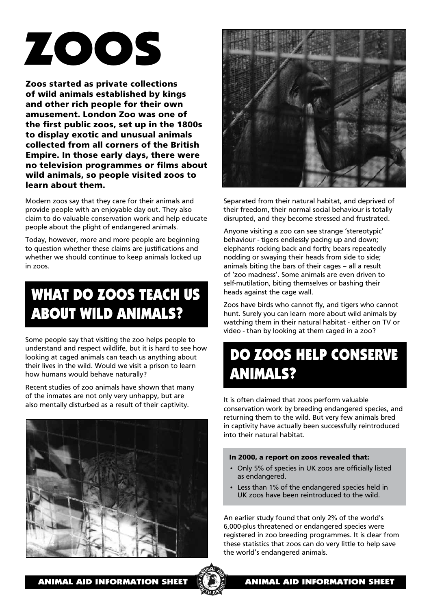# ZOOS

**Zoos started as private collections of wild animals established by kings and other rich people for their own amusement. London Zoo was one of the first public zoos, set up in the 1800s to display exotic and unusual animals collected from all corners of the British Empire. In those early days, there were no television programmes or films about wild animals, so people visited zoos to learn about them.**

Modern zoos say that they care for their animals and provide people with an enjoyable day out. They also claim to do valuable conservation work and help educate people about the plight of endangered animals.

Today, however, more and more people are beginning to question whether these claims are justifications and whether we should continue to keep animals locked up in zoos.

## WHAT DO ZOOS TEACH US ABOUT WILD ANIMALS?

Some people say that visiting the zoo helps people to understand and respect wildlife, but it is hard to see how looking at caged animals can teach us anything about their lives in the wild. Would we visit a prison to learn how humans would behave naturally?

Recent studies of zoo animals have shown that many of the inmates are not only very unhappy, but are also mentally disturbed as a result of their captivity.





Separated from their natural habitat, and deprived of their freedom, their normal social behaviour is totally disrupted, and they become stressed and frustrated.

Anyone visiting a zoo can see strange 'stereotypic' behaviour - tigers endlessly pacing up and down; elephants rocking back and forth; bears repeatedly nodding or swaying their heads from side to side; animals biting the bars of their cages – all a result of 'zoo madness'. Some animals are even driven to self-mutilation, biting themselves or bashing their heads against the cage wall.

Zoos have birds who cannot fly, and tigers who cannot hunt. Surely you can learn more about wild animals by watching them in their natural habitat - either on TV or video - than by looking at them caged in a zoo?

## DO ZOOS HELP CONSERVE ANIMALS?

It is often claimed that zoos perform valuable conservation work by breeding endangered species, and returning them to the wild. But very few animals bred in captivity have actually been successfully reintroduced into their natural habitat.

### **In 2000, a report on zoos revealed that:**

- Only 5% of species in UK zoos are officially listed as endangered.
- Less than 1% of the endangered species held in UK zoos have been reintroduced to the wild.

An earlier study found that only 2% of the world's 6,000-plus threatened or endangered species were registered in zoo breeding programmes. It is clear from these statistics that zoos can do very little to help save the world's endangered animals.

ANIMAL AID INFORMATION SHEET  $\left\| \mathbf{A} \right\|$  animal aid information sheet